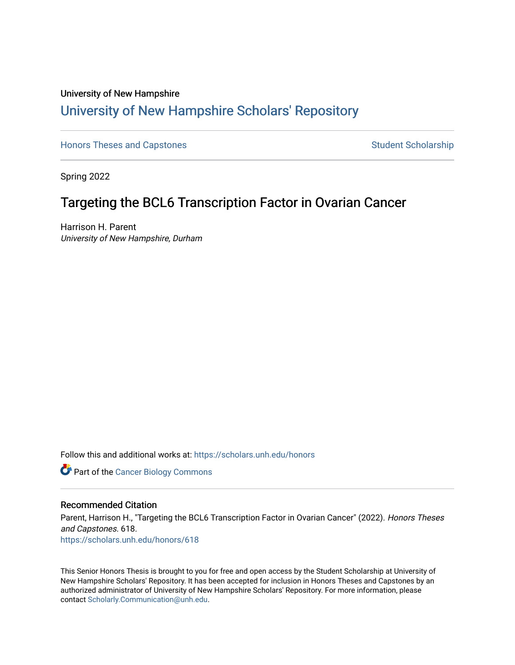## University of New Hampshire [University of New Hampshire Scholars' Repository](https://scholars.unh.edu/)

[Honors Theses and Capstones](https://scholars.unh.edu/honors) [Student Scholarship](https://scholars.unh.edu/student) Student Scholarship

Spring 2022

## Targeting the BCL6 Transcription Factor in Ovarian Cancer

Harrison H. Parent University of New Hampshire, Durham

Follow this and additional works at: [https://scholars.unh.edu/honors](https://scholars.unh.edu/honors?utm_source=scholars.unh.edu%2Fhonors%2F618&utm_medium=PDF&utm_campaign=PDFCoverPages) 

**Part of the Cancer Biology Commons** 

## Recommended Citation

Parent, Harrison H., "Targeting the BCL6 Transcription Factor in Ovarian Cancer" (2022). Honors Theses and Capstones. 618. [https://scholars.unh.edu/honors/618](https://scholars.unh.edu/honors/618?utm_source=scholars.unh.edu%2Fhonors%2F618&utm_medium=PDF&utm_campaign=PDFCoverPages) 

This Senior Honors Thesis is brought to you for free and open access by the Student Scholarship at University of New Hampshire Scholars' Repository. It has been accepted for inclusion in Honors Theses and Capstones by an authorized administrator of University of New Hampshire Scholars' Repository. For more information, please contact [Scholarly.Communication@unh.edu.](mailto:Scholarly.Communication@unh.edu)